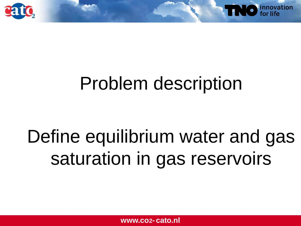



# Define equilibrium water and gas saturation in gas reservoirs

**www.co<sub>2</sub>- cato.nl**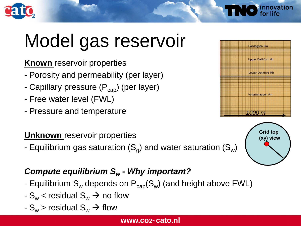

# Model gas reservoir

**Known** reservoir properties

- Porosity and permeability (per layer)
- Capillary pressure  $(P_{cap})$  (per layer)
- Free water level (FWL)
- Pressure and temperature

#### **Unknown** reservoir properties

- Equilibrium gas saturation (S<sub>g</sub>) and water saturation (S<sub>w</sub>)

#### *Compute equilibrium S<sup>w</sup>* **-** *Why important?*

- Equilibrium  $S_w$  depends on  $P_{cap}(S_w)$  (and height above FWL)
- $-S_w <$  residual  $S_w \rightarrow$  no flow
- $-S_w >$  residual  $S_w \rightarrow$  flow



innovation

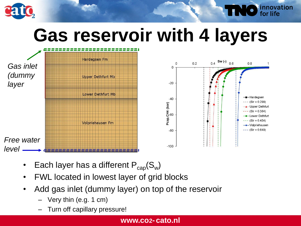

**NO** innovation



- Each layer has a different  $\mathsf{P}_{\text{cap}}(\mathsf{S}_{\textsf{w}})$
- FWL located in lowest layer of grid blocks
- Add gas inlet (dummy layer) on top of the reservoir
	- $-$  Very thin (e.g. 1 cm)
	- Turn off capillary pressure!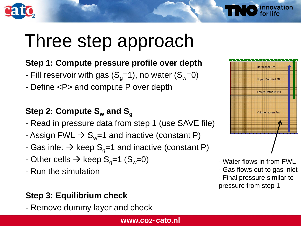

## Three step approach

#### **Step 1: Compute pressure profile over depth**

- Fill reservoir with gas  $(S_q=1)$ , no water  $(S_w=0)$
- Define <P> and compute P over depth

#### **Step 2: Compute S<sup>w</sup> and S<sup>g</sup>**

- Read in pressure data from step 1 (use SAVE file)
- Assign FWL  $\rightarrow$  S<sub>w</sub>=1 and inactive (constant P)
- Gas inlet  $\rightarrow$  keep S<sub>q</sub>=1 and inactive (constant P)
- Other cells  $\rightarrow$  keep S<sub>q</sub>=1 (S<sub>w</sub>=0)
- Run the simulation

#### **Step 3: Equilibrium check**

*-* Remove dummy layer and check





innovation

- Water flows in from FWL
- Gas flows out to gas inlet
- Final pressure similar to pressure from step 1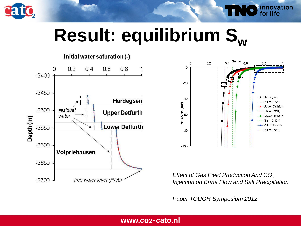

# **Result: equilibrium S<sup>w</sup>**

#### Initial water saturation (-)





innovation<br>for life

*Effect of Gas Field Production And CO*<sup>2</sup> *Injection on Brine Flow and Salt Precipitation*

*Paper TOUGH Symposium 2012*